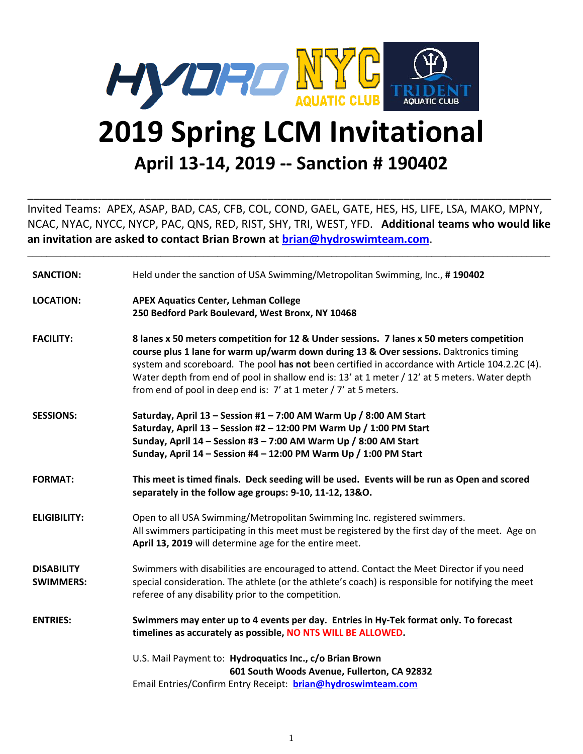

### **2019 Spring LCM Invitational April 13-14, 2019 -- Sanction # 190402**

Invited Teams: APEX, ASAP, BAD, CAS, CFB, COL, COND, GAEL, GATE, HES, HS, LIFE, LSA, MAKO, MPNY, NCAC, NYAC, NYCC, NYCP, PAC, QNS, RED, RIST, SHY, TRI, WEST, YFD. **Additional teams who would like an invitation are asked to contact Brian Brown at [brian@hydroswimteam.com](mailto:brian@hydroswimteam.com)**.

\_\_\_\_\_\_\_\_\_\_\_\_\_\_\_\_\_\_\_\_\_\_\_\_\_\_\_\_\_\_\_\_\_\_\_\_\_\_\_\_\_\_\_\_\_\_\_\_\_\_\_\_\_\_\_\_\_\_\_\_\_\_\_\_\_\_\_\_\_\_\_\_\_\_\_\_\_\_\_\_\_\_\_\_\_\_\_\_\_\_\_\_\_\_\_\_\_\_\_\_\_\_\_\_\_\_\_\_\_\_

\_\_\_\_\_\_\_\_\_\_\_\_\_\_\_\_\_\_\_\_\_\_\_\_\_\_\_\_\_\_\_\_\_\_\_\_\_\_\_\_\_\_\_\_\_\_\_\_\_\_\_\_\_\_\_\_\_\_\_\_\_\_\_\_\_\_\_\_\_\_\_\_\_\_\_\_\_\_\_\_\_\_\_\_\_

| <b>SANCTION:</b>                      | Held under the sanction of USA Swimming/Metropolitan Swimming, Inc., #190402                                                                                                                                                                                                                                                                                                                                                                              |  |
|---------------------------------------|-----------------------------------------------------------------------------------------------------------------------------------------------------------------------------------------------------------------------------------------------------------------------------------------------------------------------------------------------------------------------------------------------------------------------------------------------------------|--|
| <b>LOCATION:</b>                      | <b>APEX Aquatics Center, Lehman College</b><br>250 Bedford Park Boulevard, West Bronx, NY 10468                                                                                                                                                                                                                                                                                                                                                           |  |
| <b>FACILITY:</b>                      | 8 lanes x 50 meters competition for 12 & Under sessions. 7 lanes x 50 meters competition<br>course plus 1 lane for warm up/warm down during 13 & Over sessions. Daktronics timing<br>system and scoreboard. The pool has not been certified in accordance with Article 104.2.2C (4).<br>Water depth from end of pool in shallow end is: 13' at 1 meter / 12' at 5 meters. Water depth<br>from end of pool in deep end is: 7' at 1 meter / 7' at 5 meters. |  |
| <b>SESSIONS:</b>                      | Saturday, April 13 - Session #1 - 7:00 AM Warm Up / 8:00 AM Start<br>Saturday, April 13 - Session #2 - 12:00 PM Warm Up / 1:00 PM Start<br>Sunday, April 14 - Session #3 - 7:00 AM Warm Up / 8:00 AM Start<br>Sunday, April 14 - Session #4 - 12:00 PM Warm Up / 1:00 PM Start                                                                                                                                                                            |  |
| <b>FORMAT:</b>                        | This meet is timed finals. Deck seeding will be used. Events will be run as Open and scored<br>separately in the follow age groups: 9-10, 11-12, 13&O.                                                                                                                                                                                                                                                                                                    |  |
| <b>ELIGIBILITY:</b>                   | Open to all USA Swimming/Metropolitan Swimming Inc. registered swimmers.<br>All swimmers participating in this meet must be registered by the first day of the meet. Age on<br>April 13, 2019 will determine age for the entire meet.                                                                                                                                                                                                                     |  |
| <b>DISABILITY</b><br><b>SWIMMERS:</b> | Swimmers with disabilities are encouraged to attend. Contact the Meet Director if you need<br>special consideration. The athlete (or the athlete's coach) is responsible for notifying the meet<br>referee of any disability prior to the competition.                                                                                                                                                                                                    |  |
| <b>ENTRIES:</b>                       | Swimmers may enter up to 4 events per day. Entries in Hy-Tek format only. To forecast<br>timelines as accurately as possible, NO NTS WILL BE ALLOWED.                                                                                                                                                                                                                                                                                                     |  |
|                                       | U.S. Mail Payment to: Hydroquatics Inc., c/o Brian Brown<br>601 South Woods Avenue, Fullerton, CA 92832<br>Email Entries/Confirm Entry Receipt: brian@hydroswimteam.com                                                                                                                                                                                                                                                                                   |  |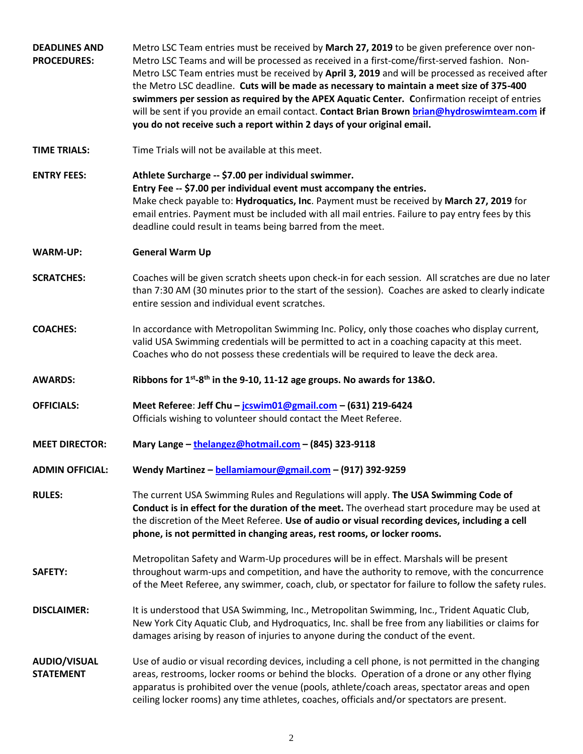| <b>DEADLINES AND</b><br><b>PROCEDURES:</b> | Metro LSC Team entries must be received by March 27, 2019 to be given preference over non-<br>Metro LSC Teams and will be processed as received in a first-come/first-served fashion. Non-<br>Metro LSC Team entries must be received by April 3, 2019 and will be processed as received after<br>the Metro LSC deadline. Cuts will be made as necessary to maintain a meet size of 375-400<br>swimmers per session as required by the APEX Aquatic Center. Confirmation receipt of entries<br>will be sent if you provide an email contact. Contact Brian Brown brian@hydroswimteam.com if<br>you do not receive such a report within 2 days of your original email. |
|--------------------------------------------|-----------------------------------------------------------------------------------------------------------------------------------------------------------------------------------------------------------------------------------------------------------------------------------------------------------------------------------------------------------------------------------------------------------------------------------------------------------------------------------------------------------------------------------------------------------------------------------------------------------------------------------------------------------------------|
| <b>TIME TRIALS:</b>                        | Time Trials will not be available at this meet.                                                                                                                                                                                                                                                                                                                                                                                                                                                                                                                                                                                                                       |
| <b>ENTRY FEES:</b>                         | Athlete Surcharge -- \$7.00 per individual swimmer.<br>Entry Fee -- \$7.00 per individual event must accompany the entries.<br>Make check payable to: Hydroquatics, Inc. Payment must be received by March 27, 2019 for<br>email entries. Payment must be included with all mail entries. Failure to pay entry fees by this<br>deadline could result in teams being barred from the meet.                                                                                                                                                                                                                                                                             |
| <b>WARM-UP:</b>                            | <b>General Warm Up</b>                                                                                                                                                                                                                                                                                                                                                                                                                                                                                                                                                                                                                                                |
| <b>SCRATCHES:</b>                          | Coaches will be given scratch sheets upon check-in for each session. All scratches are due no later<br>than 7:30 AM (30 minutes prior to the start of the session). Coaches are asked to clearly indicate<br>entire session and individual event scratches.                                                                                                                                                                                                                                                                                                                                                                                                           |
| <b>COACHES:</b>                            | In accordance with Metropolitan Swimming Inc. Policy, only those coaches who display current,<br>valid USA Swimming credentials will be permitted to act in a coaching capacity at this meet.<br>Coaches who do not possess these credentials will be required to leave the deck area.                                                                                                                                                                                                                                                                                                                                                                                |
| <b>AWARDS:</b>                             | Ribbons for 1 <sup>st</sup> -8 <sup>th</sup> in the 9-10, 11-12 age groups. No awards for 13&O.                                                                                                                                                                                                                                                                                                                                                                                                                                                                                                                                                                       |
| <b>OFFICIALS:</b>                          | Meet Referee: Jeff Chu - jcswim01@gmail.com - (631) 219-6424<br>Officials wishing to volunteer should contact the Meet Referee.                                                                                                                                                                                                                                                                                                                                                                                                                                                                                                                                       |
| <b>MEET DIRECTOR:</b>                      | Mary Lange - thelangez@hotmail.com - (845) 323-9118                                                                                                                                                                                                                                                                                                                                                                                                                                                                                                                                                                                                                   |
| <b>ADMIN OFFICIAL:</b>                     | Wendy Martinez - bellamiamour@gmail.com - (917) 392-9259                                                                                                                                                                                                                                                                                                                                                                                                                                                                                                                                                                                                              |
| <b>RULES:</b>                              | The current USA Swimming Rules and Regulations will apply. The USA Swimming Code of<br>Conduct is in effect for the duration of the meet. The overhead start procedure may be used at<br>the discretion of the Meet Referee. Use of audio or visual recording devices, including a cell<br>phone, is not permitted in changing areas, rest rooms, or locker rooms.                                                                                                                                                                                                                                                                                                    |
| <b>SAFETY:</b>                             | Metropolitan Safety and Warm-Up procedures will be in effect. Marshals will be present                                                                                                                                                                                                                                                                                                                                                                                                                                                                                                                                                                                |
|                                            | throughout warm-ups and competition, and have the authority to remove, with the concurrence<br>of the Meet Referee, any swimmer, coach, club, or spectator for failure to follow the safety rules.                                                                                                                                                                                                                                                                                                                                                                                                                                                                    |
| <b>DISCLAIMER:</b>                         | It is understood that USA Swimming, Inc., Metropolitan Swimming, Inc., Trident Aquatic Club,<br>New York City Aquatic Club, and Hydroquatics, Inc. shall be free from any liabilities or claims for<br>damages arising by reason of injuries to anyone during the conduct of the event.                                                                                                                                                                                                                                                                                                                                                                               |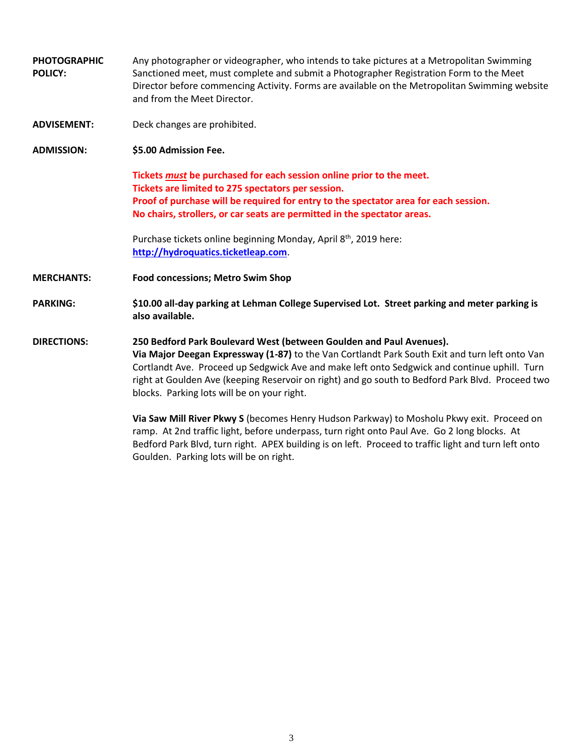- **PHOTOGRAPHIC POLICY:** Any photographer or videographer, who intends to take pictures at a Metropolitan Swimming Sanctioned meet, must complete and submit a Photographer Registration Form to the Meet Director before commencing Activity. Forms are available on the Metropolitan Swimming website and from the Meet Director.
- **ADVISEMENT:** Deck changes are prohibited.
- **ADMISSION: \$5.00 Admission Fee.**

**Tickets** *must* **be purchased for each session online prior to the meet. Tickets are limited to 275 spectators per session. Proof of purchase will be required for entry to the spectator area for each session. No chairs, strollers, or car seats are permitted in the spectator areas.**

Purchase tickets online beginning Monday, April 8<sup>th</sup>, 2019 here: **[http://hydroquatics.ticketleap.com](http://hydroquatics.ticketleap.com/)**.

**MERCHANTS: Food concessions; Metro Swim Shop**

**PARKING: \$10.00 all-day parking at Lehman College Supervised Lot. Street parking and meter parking is also available.**

#### **DIRECTIONS: 250 Bedford Park Boulevard West (between Goulden and Paul Avenues). Via Major Deegan Expressway (1-87)** to the Van Cortlandt Park South Exit and turn left onto Van Cortlandt Ave. Proceed up Sedgwick Ave and make left onto Sedgwick and continue uphill. Turn right at Goulden Ave (keeping Reservoir on right) and go south to Bedford Park Blvd. Proceed two blocks. Parking lots will be on your right.

**Via Saw Mill River Pkwy S** (becomes Henry Hudson Parkway) to Mosholu Pkwy exit. Proceed on ramp. At 2nd traffic light, before underpass, turn right onto Paul Ave. Go 2 long blocks. At Bedford Park Blvd, turn right. APEX building is on left. Proceed to traffic light and turn left onto Goulden. Parking lots will be on right.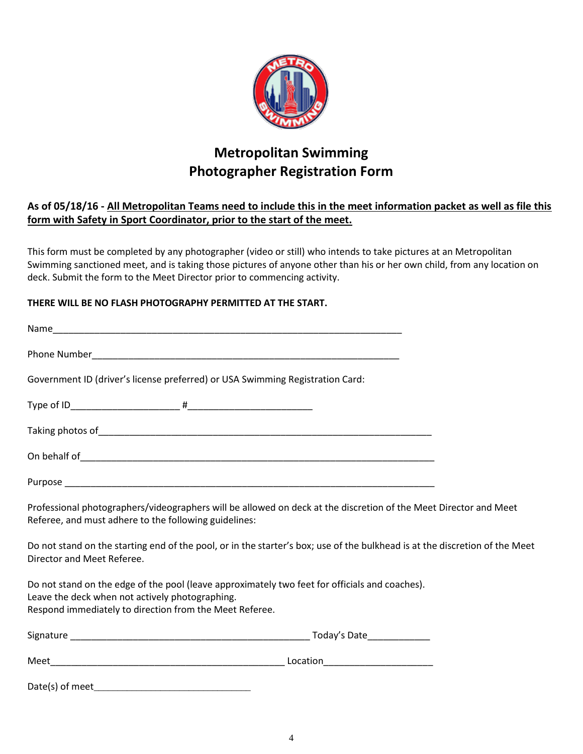

### **Metropolitan Swimming Photographer Registration Form**

#### **As of 05/18/16 - All Metropolitan Teams need to include this in the meet information packet as well as file this form with Safety in Sport Coordinator, prior to the start of the meet.**

This form must be completed by any photographer (video or still) who intends to take pictures at an Metropolitan Swimming sanctioned meet, and is taking those pictures of anyone other than his or her own child, from any location on deck. Submit the form to the Meet Director prior to commencing activity.

#### **THERE WILL BE NO FLASH PHOTOGRAPHY PERMITTED AT THE START.**

| Government ID (driver's license preferred) or USA Swimming Registration Card:                                                                                                                                |                                                                                                                             |
|--------------------------------------------------------------------------------------------------------------------------------------------------------------------------------------------------------------|-----------------------------------------------------------------------------------------------------------------------------|
|                                                                                                                                                                                                              |                                                                                                                             |
|                                                                                                                                                                                                              |                                                                                                                             |
|                                                                                                                                                                                                              |                                                                                                                             |
|                                                                                                                                                                                                              |                                                                                                                             |
| Referee, and must adhere to the following guidelines:                                                                                                                                                        | Professional photographers/videographers will be allowed on deck at the discretion of the Meet Director and Meet            |
| Director and Meet Referee.                                                                                                                                                                                   | Do not stand on the starting end of the pool, or in the starter's box; use of the bulkhead is at the discretion of the Meet |
| Do not stand on the edge of the pool (leave approximately two feet for officials and coaches).<br>Leave the deck when not actively photographing.<br>Respond immediately to direction from the Meet Referee. |                                                                                                                             |
|                                                                                                                                                                                                              |                                                                                                                             |
|                                                                                                                                                                                                              |                                                                                                                             |
|                                                                                                                                                                                                              |                                                                                                                             |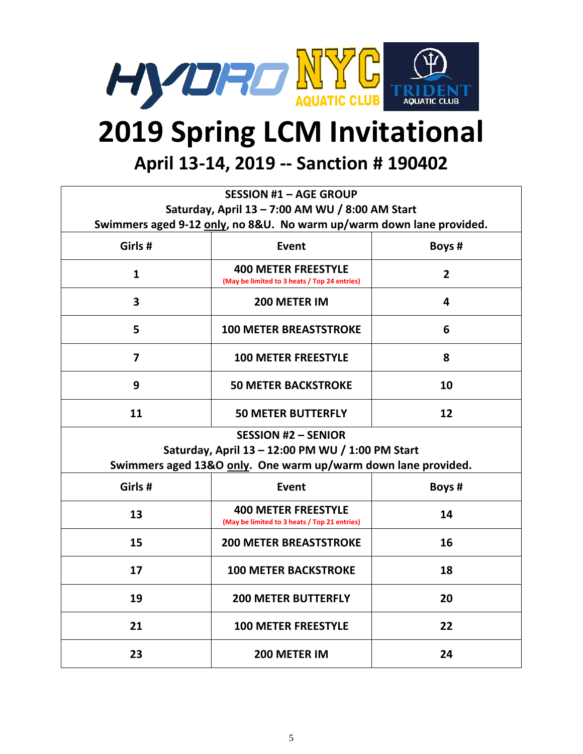

# **2019 Spring LCM Invitational**

**April 13-14, 2019 -- Sanction # 190402**

| <b>SESSION #1 - AGE GROUP</b>                    |                                                                            |                |  |  |  |
|--------------------------------------------------|----------------------------------------------------------------------------|----------------|--|--|--|
| Saturday, April 13 - 7:00 AM WU / 8:00 AM Start  |                                                                            |                |  |  |  |
|                                                  | Swimmers aged 9-12 only, no 8&U. No warm up/warm down lane provided.       |                |  |  |  |
| Girls #                                          | Event                                                                      | Boys #         |  |  |  |
| $\mathbf{1}$                                     | <b>400 METER FREESTYLE</b><br>(May be limited to 3 heats / Top 24 entries) | $\overline{2}$ |  |  |  |
| $\overline{\mathbf{3}}$                          | 200 METER IM                                                               | 4              |  |  |  |
| 5                                                | <b>100 METER BREASTSTROKE</b>                                              | 6              |  |  |  |
| $\overline{7}$                                   | <b>100 METER FREESTYLE</b>                                                 | 8              |  |  |  |
| 9                                                | <b>50 METER BACKSTROKE</b>                                                 | 10             |  |  |  |
| 11                                               | <b>50 METER BUTTERFLY</b>                                                  | 12             |  |  |  |
|                                                  | <b>SESSION #2 - SENIOR</b>                                                 |                |  |  |  |
| Saturday, April 13 - 12:00 PM WU / 1:00 PM Start |                                                                            |                |  |  |  |
|                                                  | Swimmers aged 13&O only. One warm up/warm down lane provided.              |                |  |  |  |
| Girls#                                           | <b>Event</b>                                                               | Boys #         |  |  |  |
| 13                                               | <b>400 METER FREESTYLE</b><br>(May be limited to 3 heats / Top 21 entries) | 14             |  |  |  |
| 15                                               | <b>200 METER BREASTSTROKE</b>                                              | 16             |  |  |  |
| 17                                               | <b>100 METER BACKSTROKE</b>                                                | 18             |  |  |  |
| 19                                               | <b>200 METER BUTTERFLY</b>                                                 | 20             |  |  |  |
| 21                                               | <b>100 METER FREESTYLE</b>                                                 | 22             |  |  |  |
| 23                                               | 200 METER IM                                                               | 24             |  |  |  |